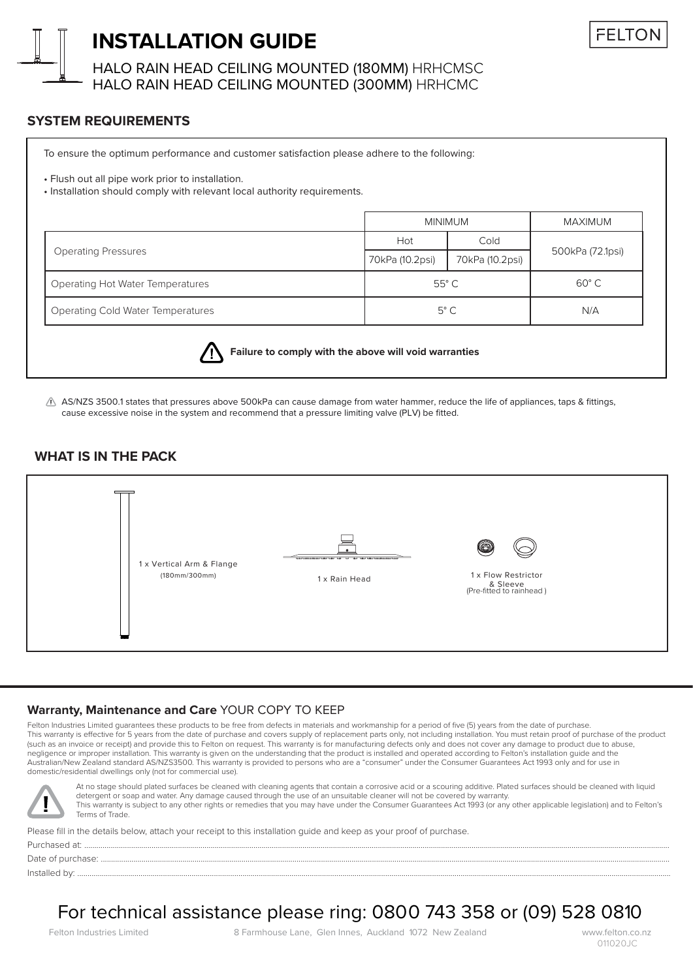

## **INSTALLATION GUIDE**

HALO RAIN HEAD CEILING MOUNTED (180MM) HRHCMSC HALO RAIN HEAD CEILING MOUNTED (300MM) HRHCMC

## **SYSTEM REQUIREMENTS**

To ensure the optimum performance and customer satisfaction please adhere to the following:

• Flush out all pipe work prior to installation.

• Installation should comply with relevant local authority requirements.

|                                          | <b>MINIMUM</b>  |                 | MAXIMUM          |
|------------------------------------------|-----------------|-----------------|------------------|
| <b>Operating Pressures</b>               | Hot             | Cold            | 500kPa (72.1psi) |
|                                          | 70kPa (10.2psi) | 70kPa (10.2psi) |                  |
| <b>Operating Hot Water Temperatures</b>  | $55^{\circ}$ C  |                 | $60^{\circ}$ C   |
| <b>Operating Cold Water Temperatures</b> | $5^{\circ}$ C   |                 | N/A              |



**Failure to comply with the above will void warranties**

 $\triangle$  AS/NZS 3500.1 states that pressures above 500kPa can cause damage from water hammer, reduce the life of appliances, taps & fittings, cause excessive noise in the system and recommend that a pressure limiting valve (PLV) be fitted.

## **WHAT IS IN THE PACK**



#### **Warranty, Maintenance and Care** YOUR COPY TO KEEP

Felton Industries Limited quarantees these products to be free from defects in materials and workmanship for a period of five (5) years from the date of purchase. This warranty is effective for 5 years from the date of purchase and covers supply of replacement parts only, not including installation. You must retain proof of purchase of the product (such as an invoice or receipt) and provide this to Felton on request. This warranty is for manufacturing defects only and does not cover any damage to product due to abuse, negligence or improper installation. This warranty is given on the understanding that the product is installed and operated according to Felton's installation guide and the Australian/New Zealand standard AS/NZS3500. This warranty is provided to persons who are a "consumer" under the Consumer Guarantees Act 1993 only and for use in domestic/residential dwellings only (not for commercial use).



At no stage should plated surfaces be cleaned with cleaning agents that contain a corrosive acid or a scouring additive. Plated surfaces should be cleaned with liquid detergent or soap and water. Any damage caused through the use of an unsuitable cleaner will not be covered by warranty. This warranty is subject to any other rights or remedies that you may have under the Consumer Guarantees Act 1993 (or any other applicable legislation) and to Felton's Terms of Trade.

Please fill in the details below, attach your receipt to this installation guide and keep as your proof of purchase. Purchased at: ...............................................................................................................................................................................................................................................................................................

Date of purchase: .....

Installed by: ...................................................................................................................................................................................................................................................................................................

# For technical assistance please ring: 0800 743 358 or (09) 528 0810

Felton Industries Limited 8 Farmhouse Lane, Glen Innes, Auckland 1072 New Zealand www.felton.co.nz

011020JC

**FFITO**